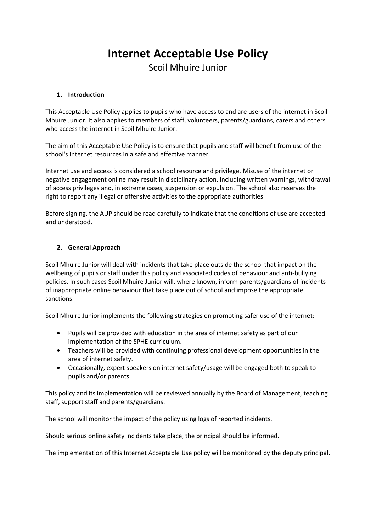# **Internet Acceptable Use Policy**

Scoil Mhuire Junior

# **1. Introduction**

This Acceptable Use Policy applies to pupils who have access to and are users of the internet in Scoil Mhuire Junior. It also applies to members of staff, volunteers, parents/guardians, carers and others who access the internet in Scoil Mhuire Junior.

The aim of this Acceptable Use Policy is to ensure that pupils and staff will benefit from use of the school's Internet resources in a safe and effective manner.

Internet use and access is considered a school resource and privilege. Misuse of the internet or negative engagement online may result in disciplinary action, including written warnings, withdrawal of access privileges and, in extreme cases, suspension or expulsion. The school also reserves the right to report any illegal or offensive activities to the appropriate authorities

Before signing, the AUP should be read carefully to indicate that the conditions of use are accepted and understood.

# **2. General Approach**

Scoil Mhuire Junior will deal with incidents that take place outside the school that impact on the wellbeing of pupils or staff under this policy and associated codes of behaviour and anti-bullying policies. In such cases Scoil Mhuire Junior will, where known, inform parents/guardians of incidents of inappropriate online behaviour that take place out of school and impose the appropriate sanctions.

Scoil Mhuire Junior implements the following strategies on promoting safer use of the internet:

- Pupils will be provided with education in the area of internet safety as part of our implementation of the SPHE curriculum.
- Teachers will be provided with continuing professional development opportunities in the area of internet safety.
- Occasionally, expert speakers on internet safety/usage will be engaged both to speak to pupils and/or parents.

This policy and its implementation will be reviewed annually by the Board of Management, teaching staff, support staff and parents/guardians.

The school will monitor the impact of the policy using logs of reported incidents.

Should serious online safety incidents take place, the principal should be informed.

The implementation of this Internet Acceptable Use policy will be monitored by the deputy principal.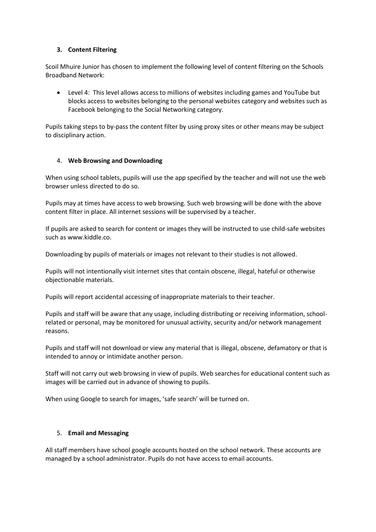# **3. Content Filtering**

Scoil Mhuire Junior has chosen to implement the following level of content filtering on the Schools Broadband Network:

 Level 4: This level allows access to millions of websites including games and YouTube but blocks access to websites belonging to the personal websites category and websites such as Facebook belonging to the Social Networking category.

Pupils taking steps to by-pass the content filter by using proxy sites or other means may be subject to disciplinary action.

# 4. **Web Browsing and Downloading**

When using school tablets, pupils will use the app specified by the teacher and will not use the web browser unless directed to do so.

Pupils may at times have access to web browsing. Such web browsing will be done with the above content filter in place. All internet sessions will be supervised by a teacher.

If pupils are asked to search for content or images they will be instructed to use child-safe websites such as www.kiddle.co.

Downloading by pupils of materials or images not relevant to their studies is not allowed.

Pupils will not intentionally visit internet sites that contain obscene, illegal, hateful or otherwise objectionable materials.

Pupils will report accidental accessing of inappropriate materials to their teacher.

Pupils and staff will be aware that any usage, including distributing or receiving information, schoolrelated or personal, may be monitored for unusual activity, security and/or network management reasons.

Pupils and staff will not download or view any material that is illegal, obscene, defamatory or that is intended to annoy or intimidate another person.

Staff will not carry out web browsing in view of pupils. Web searches for educational content such as images will be carried out in advance of showing to pupils.

When using Google to search for images, 'safe search' will be turned on.

#### 5. **Email and Messaging**

All staff members have school google accounts hosted on the school network. These accounts are managed by a school administrator. Pupils do not have access to email accounts.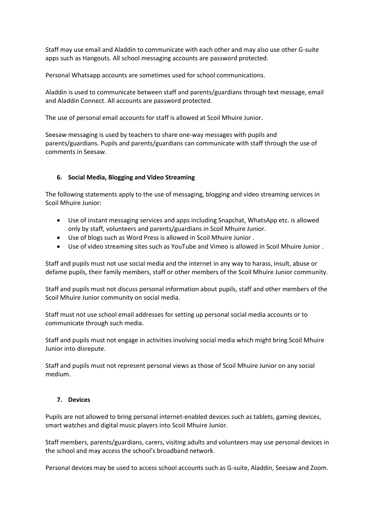Staff may use email and Aladdin to communicate with each other and may also use other G-suite apps such as Hangouts. All school messaging accounts are password protected.

Personal Whatsapp accounts are sometimes used for school communications.

Aladdin is used to communicate between staff and parents/guardians through text message, email and Aladdin Connect. All accounts are password protected.

The use of personal email accounts for staff is allowed at Scoil Mhuire Junior.

Seesaw messaging is used by teachers to share one-way messages with pupils and parents/guardians. Pupils and parents/guardians can communicate with staff through the use of comments in Seesaw.

#### **6. Social Media, Blogging and Video Streaming**

The following statements apply to the use of messaging, blogging and video streaming services in Scoil Mhuire Junior:

- Use of instant messaging services and apps including Snapchat, WhatsApp etc. is allowed only by staff, volunteers and parents/guardians in Scoil Mhuire Junior.
- Use of blogs such as Word Press is allowed in Scoil Mhuire Junior .
- Use of video streaming sites such as YouTube and Vimeo is allowed in Scoil Mhuire Junior .

Staff and pupils must not use social media and the internet in any way to harass, insult, abuse or defame pupils, their family members, staff or other members of the Scoil Mhuire Junior community.

Staff and pupils must not discuss personal information about pupils, staff and other members of the Scoil Mhuire Junior community on social media.

Staff must not use school email addresses for setting up personal social media accounts or to communicate through such media.

Staff and pupils must not engage in activities involving social media which might bring Scoil Mhuire Junior into disrepute.

Staff and pupils must not represent personal views as those of Scoil Mhuire Junior on any social medium.

#### **7. Devices**

Pupils are not allowed to bring personal internet-enabled devices such as tablets, gaming devices, smart watches and digital music players into Scoil Mhuire Junior.

Staff members, parents/guardians, carers, visiting adults and volunteers may use personal devices in the school and may access the school's broadband network.

Personal devices may be used to access school accounts such as G-suite, Aladdin, Seesaw and Zoom.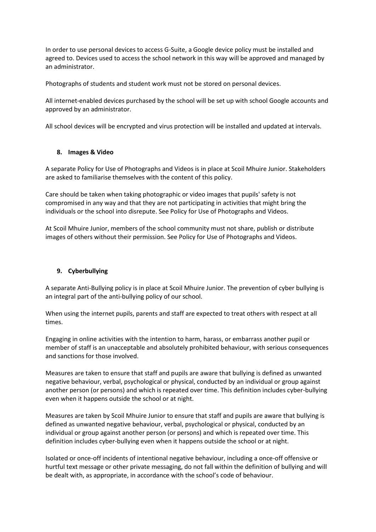In order to use personal devices to access G-Suite, a Google device policy must be installed and agreed to. Devices used to access the school network in this way will be approved and managed by an administrator.

Photographs of students and student work must not be stored on personal devices.

All internet-enabled devices purchased by the school will be set up with school Google accounts and approved by an administrator.

All school devices will be encrypted and virus protection will be installed and updated at intervals.

# **8. Images & Video**

A separate Policy for Use of Photographs and Videos is in place at Scoil Mhuire Junior. Stakeholders are asked to familiarise themselves with the content of this policy.

Care should be taken when taking photographic or video images that pupils' safety is not compromised in any way and that they are not participating in activities that might bring the individuals or the school into disrepute. See Policy for Use of Photographs and Videos.

At Scoil Mhuire Junior, members of the school community must not share, publish or distribute images of others without their permission. See Policy for Use of Photographs and Videos.

# **9. Cyberbullying**

A separate Anti-Bullying policy is in place at Scoil Mhuire Junior. The prevention of cyber bullying is an integral part of the anti-bullying policy of our school.

When using the internet pupils, parents and staff are expected to treat others with respect at all times.

Engaging in online activities with the intention to harm, harass, or embarrass another pupil or member of staff is an unacceptable and absolutely prohibited behaviour, with serious consequences and sanctions for those involved.

Measures are taken to ensure that staff and pupils are aware that bullying is defined as unwanted negative behaviour, verbal, psychological or physical, conducted by an individual or group against another person (or persons) and which is repeated over time. This definition includes cyber-bullying even when it happens outside the school or at night.

Measures are taken by Scoil Mhuire Junior to ensure that staff and pupils are aware that bullying is defined as unwanted negative behaviour, verbal, psychological or physical, conducted by an individual or group against another person (or persons) and which is repeated over time. This definition includes cyber-bullying even when it happens outside the school or at night.

Isolated or once-off incidents of intentional negative behaviour, including a once-off offensive or hurtful text message or other private messaging, do not fall within the definition of bullying and will be dealt with, as appropriate, in accordance with the school's code of behaviour.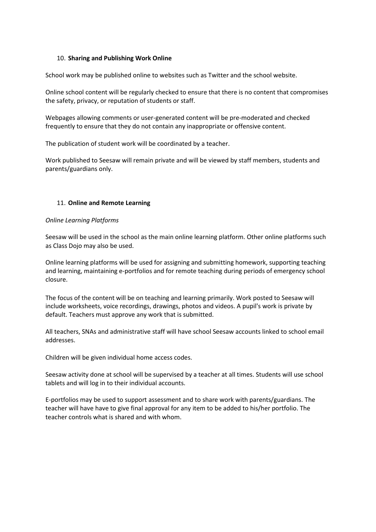#### 10. **Sharing and Publishing Work Online**

School work may be published online to websites such as Twitter and the school website.

Online school content will be regularly checked to ensure that there is no content that compromises the safety, privacy, or reputation of students or staff.

Webpages allowing comments or user-generated content will be pre-moderated and checked frequently to ensure that they do not contain any inappropriate or offensive content.

The publication of student work will be coordinated by a teacher.

Work published to Seesaw will remain private and will be viewed by staff members, students and parents/guardians only.

#### 11. **Online and Remote Learning**

#### *Online Learning Platforms*

Seesaw will be used in the school as the main online learning platform. Other online platforms such as Class Dojo may also be used.

Online learning platforms will be used for assigning and submitting homework, supporting teaching and learning, maintaining e-portfolios and for remote teaching during periods of emergency school closure.

The focus of the content will be on teaching and learning primarily. Work posted to Seesaw will include worksheets, voice recordings, drawings, photos and videos. A pupil's work is private by default. Teachers must approve any work that is submitted.

All teachers, SNAs and administrative staff will have school Seesaw accounts linked to school email addresses.

Children will be given individual home access codes.

Seesaw activity done at school will be supervised by a teacher at all times. Students will use school tablets and will log in to their individual accounts.

E-portfolios may be used to support assessment and to share work with parents/guardians. The teacher will have have to give final approval for any item to be added to his/her portfolio. The teacher controls what is shared and with whom.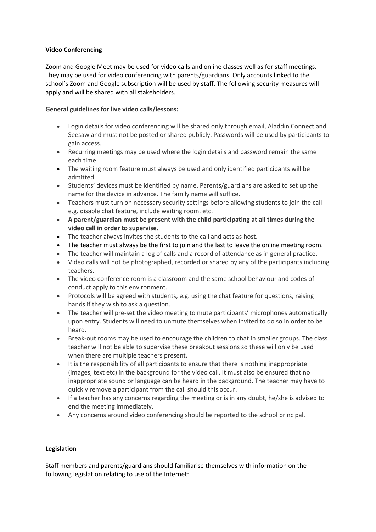# **Video Conferencing**

Zoom and Google Meet may be used for video calls and online classes well as for staff meetings. They may be used for video conferencing with parents/guardians. Only accounts linked to the school's Zoom and Google subscription will be used by staff. The following security measures will apply and will be shared with all stakeholders.

# **General guidelines for live video calls/lessons:**

- Login details for video conferencing will be shared only through email, Aladdin Connect and Seesaw and must not be posted or shared publicly. Passwords will be used by participants to gain access.
- Recurring meetings may be used where the login details and password remain the same each time.
- The waiting room feature must always be used and only identified participants will be admitted.
- Students' devices must be identified by name. Parents/guardians are asked to set up the name for the device in advance. The family name will suffice.
- Teachers must turn on necessary security settings before allowing students to join the call e.g. disable chat feature, include waiting room, etc.
- **A parent/guardian must be present with the child participating at all times during the video call in order to supervise.**
- The teacher always invites the students to the call and acts as host.
- The teacher must always be the first to join and the last to leave the online meeting room.
- The teacher will maintain a log of calls and a record of attendance as in general practice.
- Video calls will not be photographed, recorded or shared by any of the participants including teachers.
- The video conference room is a classroom and the same school behaviour and codes of conduct apply to this environment.
- Protocols will be agreed with students, e.g. using the chat feature for questions, raising hands if they wish to ask a question.
- The teacher will pre-set the video meeting to mute participants' microphones automatically upon entry. Students will need to unmute themselves when invited to do so in order to be heard.
- Break-out rooms may be used to encourage the children to chat in smaller groups. The class teacher will not be able to supervise these breakout sessions so these will only be used when there are multiple teachers present.
- It is the responsibility of all participants to ensure that there is nothing inappropriate (images, text etc) in the background for the video call. It must also be ensured that no inappropriate sound or language can be heard in the background. The teacher may have to quickly remove a participant from the call should this occur.
- If a teacher has any concerns regarding the meeting or is in any doubt, he/she is advised to end the meeting immediately.
- Any concerns around video conferencing should be reported to the school principal.

#### **Legislation**

Staff members and parents/guardians should familiarise themselves with information on the following legislation relating to use of the Internet: